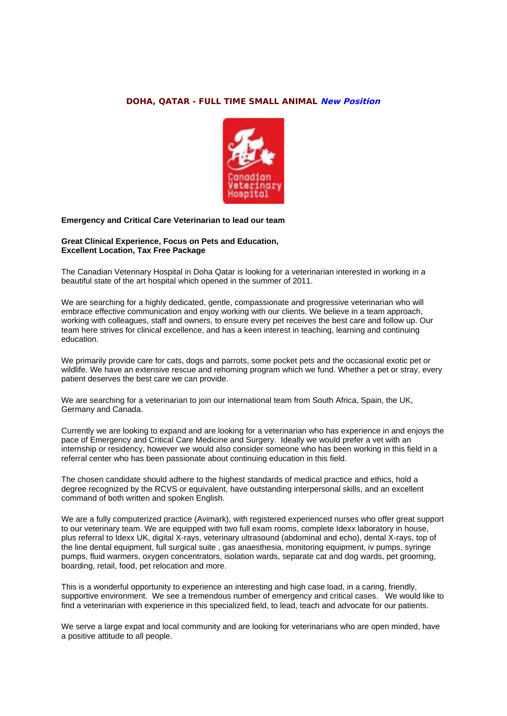## **DOHA, QATAR - FULL TIME SMALL ANIMAL New Position**



## **Emergency and Critical Care Veterinarian to lead our team**

## **Great Clinical Experience, Focus on Pets and Education, Excellent Location, Tax Free Package**

The Canadian Veterinary Hospital in Doha Qatar is looking for a veterinarian interested in working in a beautiful state of the art hospital which opened in the summer of 2011.

We are searching for a highly dedicated, gentle, compassionate and progressive veterinarian who will embrace effective communication and enjoy working with our clients. We believe in a team approach, working with colleagues, staff and owners, to ensure every pet receives the best care and follow up. Our team here strives for clinical excellence, and has a keen interest in teaching, learning and continuing education.

We primarily provide care for cats, dogs and parrots, some pocket pets and the occasional exotic pet or wildlife. We have an extensive rescue and rehoming program which we fund. Whether a pet or stray, every patient deserves the best care we can provide.

We are searching for a veterinarian to join our international team from South Africa, Spain, the UK, Germany and Canada.

Currently we are looking to expand and are looking for a veterinarian who has experience in and enjoys the pace of Emergency and Critical Care Medicine and Surgery. Ideally we would prefer a vet with an internship or residency, however we would also consider someone who has been working in this field in a referral center who has been passionate about continuing education in this field.

The chosen candidate should adhere to the highest standards of medical practice and ethics, hold a degree recognized by the RCVS or equivalent, have outstanding interpersonal skills, and an excellent command of both written and spoken English.

We are a fully computerized practice (Avimark), with registered experienced nurses who offer great support to our veterinary team. We are equipped with two full exam rooms, complete Idexx laboratory in house, plus referral to Idexx UK, digital X-rays, veterinary ultrasound (abdominal and echo), dental X-rays, top of the line dental equipment, full surgical suite , gas anaesthesia, monitoring equipment, iv pumps, syringe pumps, fluid warmers, oxygen concentrators, isolation wards, separate cat and dog wards, pet grooming, boarding, retail, food, pet relocation and more.

This is a wonderful opportunity to experience an interesting and high case load, in a caring, friendly, supportive environment. We see a tremendous number of emergency and critical cases. We would like to find a veterinarian with experience in this specialized field, to lead, teach and advocate for our patients.

We serve a large expat and local community and are looking for veterinarians who are open minded, have a positive attitude to all people.